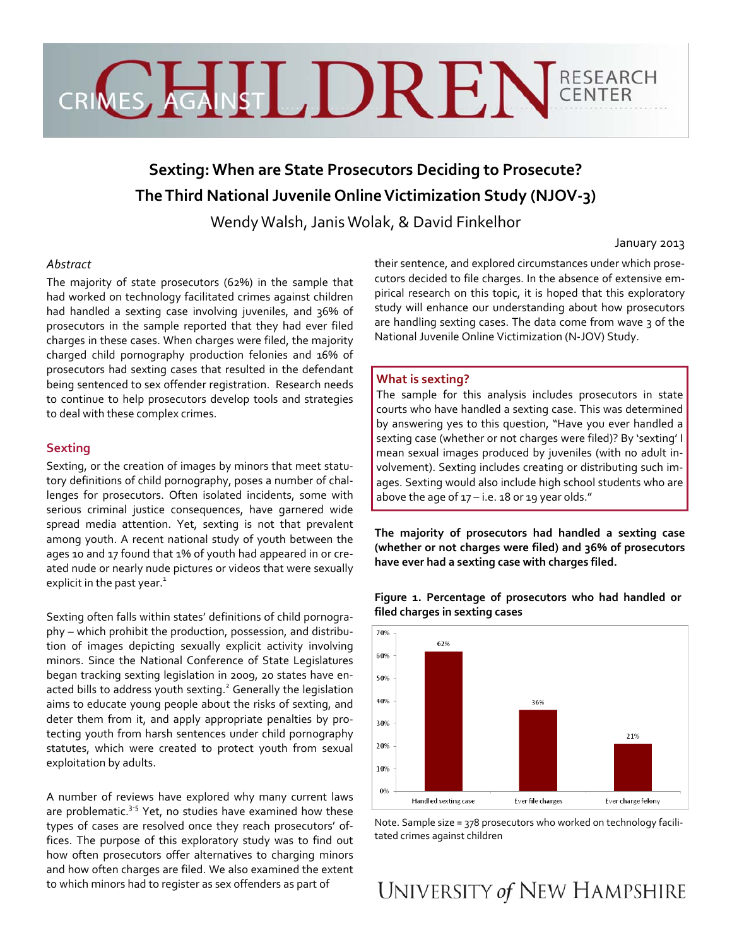# CRICE HALLDREN CENTER

# **Sexting: When are State Prosecutors Deciding to Prosecute? TheThird National Juvenile OnlineVictimization Study (NJOV‐3)**

Wendy Walsh,Janis Wolak, & David Finkelhor

#### January 2013

# *Abstract*

The majority of state prosecutors (62%) in the sample that had worked on technology facilitated crimes against children had handled a sexting case involving juveniles, and 36% of prosecutors in the sample reported that they had ever filed charges in these cases. When charges were filed, the majority charged child pornography production felonies and 16% of prosecutors had sexting cases that resulted in the defendant being sentenced to sex offender registration. Research needs to continue to help prosecutors develop tools and strategies to deal with these complex crimes.

# **Sexting**

Sexting, or the creation of images by minors that meet statu‐ tory definitions of child pornography, poses a number of chal‐ lenges for prosecutors. Often isolated incidents, some with serious criminal justice consequences, have garnered wide spread media attention. Yet, sexting is not that prevalent among youth. A recent national study of youth between the ages 10 and 17 found that 1% of youth had appeared in or created nude or nearly nude pictures or videos that were sexually explicit in the past year.<sup>1</sup>

Sexting often falls within states' definitions of child pornogra‐ phy – which prohibit the production, possession, and distribu‐ tion of images depicting sexually explicit activity involving minors. Since the National Conference of State Legislatures began tracking sexting legislation in 2009, 20 states have en‐ acted bills to address youth sexting.<sup>2</sup> Generally the legislation aims to educate young people about the risks of sexting, and deter them from it, and apply appropriate penalties by pro‐ tecting youth from harsh sentences under child pornography statutes, which were created to protect youth from sexual exploitation by adults.

A number of reviews have explored why many current laws are problematic. $3-5$  Yet, no studies have examined how these types of cases are resolved once they reach prosecutors' of‐ fices. The purpose of this exploratory study was to find out how often prosecutors offer alternatives to charging minors and how often charges are filed. We also examined the extent to which minors had to register as sex offenders as part of

their sentence, and explored circumstances under which prose‐ cutors decided to file charges. In the absence of extensive em‐ pirical research on this topic, it is hoped that this exploratory study will enhance our understanding about how prosecutors are handling sexting cases. The data come from wave 3 of the National Juvenile Online Victimization (N‐JOV) Study.

# **What is sexting?**

The sample for this analysis includes prosecutors in state courts who have handled a sexting case. This was determined by answering yes to this question, "Have you ever handled a sexting case (whether or not charges were filed)? By 'sexting' I mean sexual images produced by juveniles (with no adult in‐ volvement). Sexting includes creating or distributing such im‐ ages. Sexting would also include high school students who are above the age of  $17 - i.e.$  18 or 19 year olds."

**The majority of prosecutors had handled a sexting case (whether or not charges were filed) and 36% of prosecutors have ever had a sexting case with charges filed.**



**Figure 1. Percentage of prosecutors who had handled or filed charges in sexting cases** 

Note. Sample size = 378 prosecutors who worked on technology facili‐ tated crimes against children

# UNIVERSITY of NEW HAMPSHIRE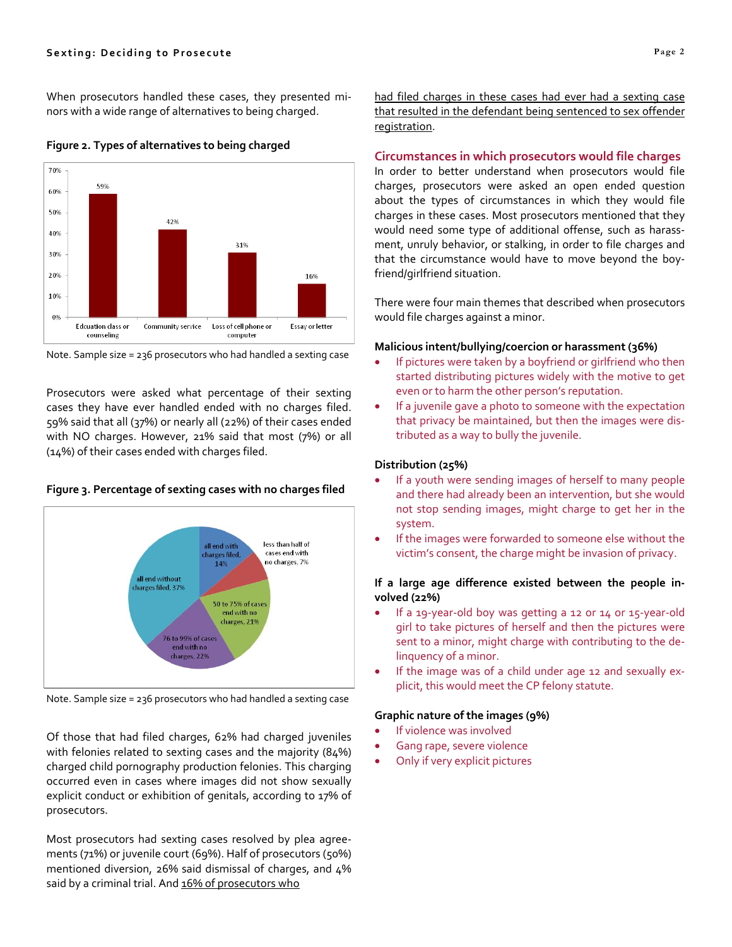When prosecutors handled these cases, they presented mi‐ nors with a wide range of alternatives to being charged.



# **Figure 2. Types of alternatives to being charged**



Prosecutors were asked what percentage of their sexting cases they have ever handled ended with no charges filed. 59% said that all (37%) or nearly all (22%) of their cases ended with NO charges. However, 21% said that most (7%) or all (14%) of their cases ended with charges filed.

#### **Figure 3. Percentage of sexting cases with no charges filed**



Note. Sample size = 236 prosecutors who had handled a sexting case

Of those that had filed charges, 62% had charged juveniles with felonies related to sexting cases and the majority (84%) charged child pornography production felonies. This charging occurred even in cases where images did not show sexually explicit conduct or exhibition of genitals, according to 17% of prosecutors.

Most prosecutors had sexting cases resolved by plea agree‐ ments (71%) or juvenile court (69%). Half of prosecutors (50%) mentioned diversion, 26% said dismissal of charges, and 4% said by a criminal trial. And 16% of prosecutors who

had filed charges in these cases had ever had a sexting case that resulted in the defendant being sentenced to sex offender registration.

# **Circumstances in which prosecutors would file charges**

In order to better understand when prosecutors would file charges, prosecutors were asked an open ended question about the types of circumstances in which they would file charges in these cases. Most prosecutors mentioned that they would need some type of additional offense, such as harass‐ ment, unruly behavior, or stalking, in order to file charges and that the circumstance would have to move beyond the boy‐ friend/girlfriend situation.

There were four main themes that described when prosecutors would file charges against a minor.

#### **Malicious intent/bullying/coercion or harassment (36%)**

- If pictures were taken by a boyfriend or girlfriend who then started distributing pictures widely with the motive to get even or to harm the other person's reputation.
- If a juvenile gave a photo to someone with the expectation that privacy be maintained, but then the images were dis‐ tributed as a way to bully the juvenile.

#### **Distribution (25%)**

- If a youth were sending images of herself to many people and there had already been an intervention, but she would not stop sending images, might charge to get her in the system.
- If the images were forwarded to someone else without the victim's consent, the charge might be invasion of privacy.

#### **If a large age difference existed between the people in‐ volved (22%)**

- If a 19‐year‐old boy was getting a 12 or 14 or 15‐year‐old girl to take pictures of herself and then the pictures were sent to a minor, might charge with contributing to the de‐ linquency of a minor.
- If the image was of a child under age 12 and sexually explicit, this would meet the CP felony statute.

#### **Graphic nature of the images (9%)**

- If violence was involved
- Gang rape, severe violence
- Only if very explicit pictures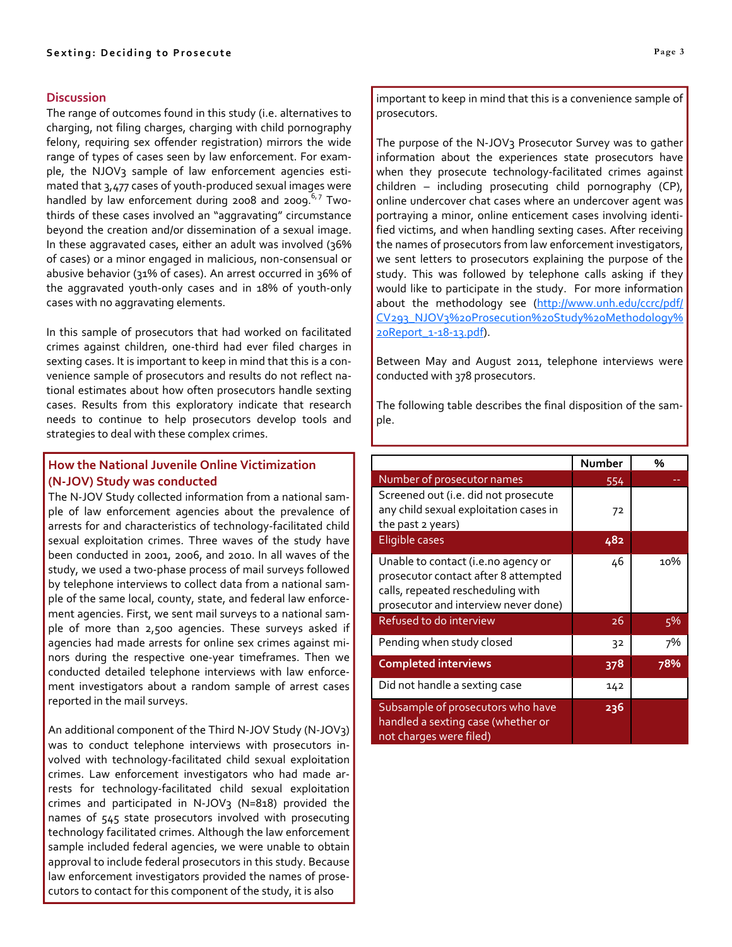# **Discussion**

The range of outcomes found in this study (i.e. alternatives to charging, not filing charges, charging with child pornography felony, requiring sex offender registration) mirrors the wide range of types of cases seen by law enforcement. For exam‐ ple, the NJOV3 sample of law enforcement agencies estimated that 3,477 cases of youth‐produced sexual images were handled by law enforcement during 2008 and 2009. $6,7$  Twothirds of these cases involved an "aggravating" circumstance beyond the creation and/or dissemination of a sexual image. In these aggravated cases, either an adult was involved (36% of cases) or a minor engaged in malicious, non‐consensual or abusive behavior (31% of cases). An arrest occurred in 36% of the aggravated youth‐only cases and in 18% of youth‐only cases with no aggravating elements.

In this sample of prosecutors that had worked on facilitated crimes against children, one‐third had ever filed charges in sexting cases. It is important to keep in mind that this is a con‐ venience sample of prosecutors and results do not reflect na‐ tional estimates about how often prosecutors handle sexting cases. Results from this exploratory indicate that research needs to continue to help prosecutors develop tools and strategies to deal with these complex crimes.

# **How the National Juvenile Online Victimization (N‐JOV) Study was conducted**

The N‐JOV Study collected information from a national sam‐ ple of law enforcement agencies about the prevalence of arrests for and characteristics of technology‐facilitated child sexual exploitation crimes. Three waves of the study have been conducted in 2001, 2006, and 2010. In all waves of the study, we used a two‐phase process of mail surveys followed by telephone interviews to collect data from a national sam‐ ple of the same local, county, state, and federal law enforce‐ ment agencies. First, we sent mail surveys to a national sam‐ ple of more than 2,500 agencies. These surveys asked if agencies had made arrests for online sex crimes against mi‐ nors during the respective one‐year timeframes. Then we conducted detailed telephone interviews with law enforce‐ ment investigators about a random sample of arrest cases reported in the mail surveys.

An additional component of the Third N‐JOV Study (N‐JOV3) was to conduct telephone interviews with prosecutors in‐ volved with technology‐facilitated child sexual exploitation crimes. Law enforcement investigators who had made ar‐ rests for technology‐facilitated child sexual exploitation crimes and participated in N-JOV<sub>3</sub> (N=818) provided the names of 545 state prosecutors involved with prosecuting technology facilitated crimes. Although the law enforcement sample included federal agencies, we were unable to obtain approval to include federal prosecutors in this study. Because law enforcement investigators provided the names of prose‐ cutors to contact for this component of the study, it is also

important to keep in mind that this is a convenience sample of prosecutors.

The purpose of the N‐JOV3 Prosecutor Survey was to gather information about the experiences state prosecutors have when they prosecute technology-facilitated crimes against children – including prosecuting child pornography (CP), online undercover chat cases where an undercover agent was portraying a minor, online enticement cases involving identi‐ fied victims, and when handling sexting cases. After receiving the names of prosecutors from law enforcement investigators, we sent letters to prosecutors explaining the purpose of the study. This was followed by telephone calls asking if they would like to participate in the study. For more information about the methodology see (http://www.unh.edu/ccrc/pdf/ CV293\_NJOV3%20Prosecution%20Study%20Methodology% 20Report\_1‐18‐13.pdf).

Between May and August 2011, telephone interviews were conducted with 378 prosecutors.

The following table describes the final disposition of the sam‐ ple.

|                                                                                                                                                          | Number          | %   |
|----------------------------------------------------------------------------------------------------------------------------------------------------------|-----------------|-----|
| Number of prosecutor names                                                                                                                               | 554             |     |
| Screened out (i.e. did not prosecute<br>any child sexual exploitation cases in                                                                           | 72              |     |
| the past 2 years)                                                                                                                                        |                 |     |
| Eligible cases                                                                                                                                           | 482             |     |
| Unable to contact (i.e.no agency or<br>prosecutor contact after 8 attempted<br>calls, repeated rescheduling with<br>prosecutor and interview never done) | 46              | 10% |
| Refused to do interview                                                                                                                                  | $\overline{2}6$ | 5%  |
| Pending when study closed                                                                                                                                | 32              | 7%  |
| <b>Completed interviews</b>                                                                                                                              | 378             | 78% |
| Did not handle a sexting case                                                                                                                            | 142             |     |
| Subsample of prosecutors who have<br>handled a sexting case (whether or<br>not charges were filed)                                                       | 236             |     |